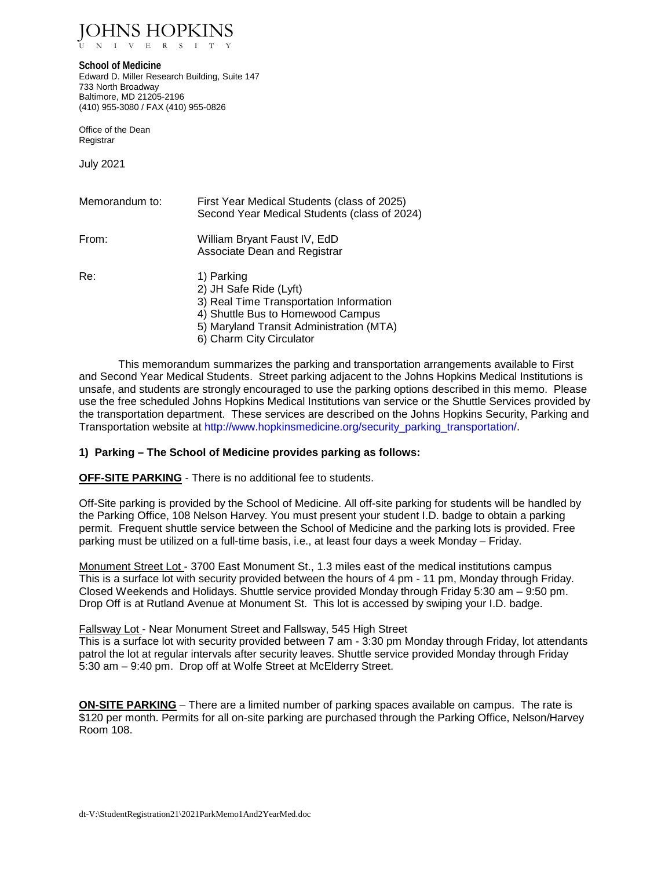JOHNS HOPKINS V E R S I T

**School of Medicine** Edward D. Miller Research Building, Suite 147 733 North Broadway Baltimore, MD 21205-2196 (410) 955-3080 / FAX (410) 955-0826

Office of the Dean Registrar

July 2021

| Memorandum to: | First Year Medical Students (class of 2025)<br>Second Year Medical Students (class of 2024)                                                                                                  |
|----------------|----------------------------------------------------------------------------------------------------------------------------------------------------------------------------------------------|
| From:          | William Bryant Faust IV, EdD<br>Associate Dean and Registrar                                                                                                                                 |
| Re:            | 1) Parking<br>2) JH Safe Ride (Lyft)<br>3) Real Time Transportation Information<br>4) Shuttle Bus to Homewood Campus<br>5) Maryland Transit Administration (MTA)<br>6) Charm City Circulator |

This memorandum summarizes the parking and transportation arrangements available to First and Second Year Medical Students. Street parking adjacent to the Johns Hopkins Medical Institutions is unsafe, and students are strongly encouraged to use the parking options described in this memo. Please use the free scheduled Johns Hopkins Medical Institutions van service or the Shuttle Services provided by the transportation department. These services are described on the Johns Hopkins Security, Parking and Transportation website at [http://www.hopkinsmedicine.org/security\\_parking\\_transportation/.](http://www.hopkinsmedicine.org/security_parking_transportation/)

## **1) Parking – The School of Medicine provides parking as follows:**

**OFF-SITE PARKING** - There is no additional fee to students.

Off-Site parking is provided by the School of Medicine. All off-site parking for students will be handled by the Parking Office, 108 Nelson Harvey. You must present your student I.D. badge to obtain a parking permit. Frequent shuttle service between the School of Medicine and the parking lots is provided. Free parking must be utilized on a full-time basis, i.e., at least four days a week Monday – Friday.

Monument Street Lot - 3700 East Monument St., 1.3 miles east of the medical institutions campus This is a surface lot with security provided between the hours of 4 pm - 11 pm, Monday through Friday. Closed Weekends and Holidays. Shuttle service provided Monday through Friday 5:30 am – 9:50 pm. Drop Off is at Rutland Avenue at Monument St. This lot is accessed by swiping your I.D. badge.

#### Fallsway Lot - Near Monument Street and Fallsway, 545 High Street

This is a surface lot with security provided between 7 am - 3:30 pm Monday through Friday, lot attendants patrol the lot at regular intervals after security leaves. Shuttle service provided Monday through Friday 5:30 am – 9:40 pm. Drop off at Wolfe Street at McElderry Street.

**ON-SITE PARKING** – There are a limited number of parking spaces available on campus. The rate is \$120 per month. Permits for all on-site parking are purchased through the Parking Office, Nelson/Harvey Room 108.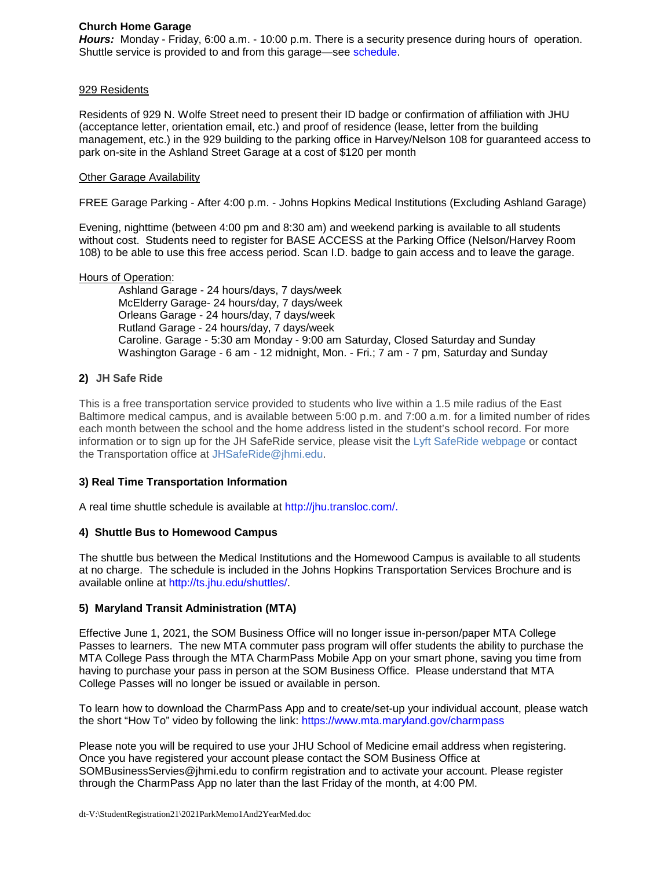## **Church Home Garage**

*Hours:* Monday - Friday, 6:00 a.m. - 10:00 p.m. There is a security presence during hours of operation. Shuttle service is provided to and from this garage—see [schedule.](https://intranet.insidehopkinsmedicine.org/security_parking/transportation/shuttles.html#parking)

## 929 Residents

Residents of 929 N. Wolfe Street need to present their ID badge or confirmation of affiliation with JHU (acceptance letter, orientation email, etc.) and proof of residence (lease, letter from the building management, etc.) in the 929 building to the parking office in Harvey/Nelson 108 for guaranteed access to park on-site in the Ashland Street Garage at a cost of \$120 per month

### Other Garage Availability

FREE Garage Parking - After 4:00 p.m. - Johns Hopkins Medical Institutions (Excluding Ashland Garage)

Evening, nighttime (between 4:00 pm and 8:30 am) and weekend parking is available to all students without cost. Students need to register for BASE ACCESS at the Parking Office (Nelson/Harvey Room 108) to be able to use this free access period. Scan I.D. badge to gain access and to leave the garage.

#### Hours of Operation:

Ashland Garage - 24 hours/days, 7 days/week McElderry Garage- 24 hours/day, 7 days/week Orleans Garage - 24 hours/day, 7 days/week Rutland Garage - 24 hours/day, 7 days/week Caroline. Garage - 5:30 am Monday - 9:00 am Saturday, Closed Saturday and Sunday Washington Garage - 6 am - 12 midnight, Mon. - Fri.; 7 am - 7 pm, Saturday and Sunday

# **2) JH Safe Ride**

This is a free transportation service provided to students who live within a 1.5 mile radius of the East Baltimore medical campus, and is available between 5:00 p.m. and 7:00 a.m. for a limited number of rides each month between the school and the home address listed in the student's school record. For more information or to sign up for the JH SafeRide service, please visit the [Lyft SafeRide webpage](http://s.bl-1.com/h/cm6Xkn9q?url=https://jhsaferide.jh.edu/) or contact the Transportation office at [JHSafeRide@jhmi.edu.](mailto:JHSafeRide@jhmi.edu)

## **3) Real Time Transportation Information**

A real time shuttle schedule is available at [http://jhu.transloc.com/.](http://jhu.transloc.com/)

## **4) Shuttle Bus to Homewood Campus**

The shuttle bus between the Medical Institutions and the Homewood Campus is available to all students at no charge. The schedule is included in the Johns Hopkins Transportation Services Brochure and is available online at [http://ts.jhu.edu/shuttles/.](http://ts.jhu.edu/shuttles/)

## **5) Maryland Transit Administration (MTA)**

Effective June 1, 2021, the SOM Business Office will no longer issue in-person/paper MTA College Passes to learners. The new MTA commuter pass program will offer students the ability to purchase the MTA College Pass through the MTA CharmPass Mobile App on your smart phone, saving you time from having to purchase your pass in person at the SOM Business Office. Please understand that MTA College Passes will no longer be issued or available in person.

To learn how to download the CharmPass App and to create/set-up your individual account, please watch the short "How To" video by following the link:<https://www.mta.maryland.gov/charmpass>

Please note you will be required to use your JHU School of Medicine email address when registering. Once you have registered your account please contact the SOM Business Office at SOMBusinessServies@jhmi.edu to confirm registration and to activate your account. Please register through the CharmPass App no later than the last Friday of the month, at 4:00 PM.